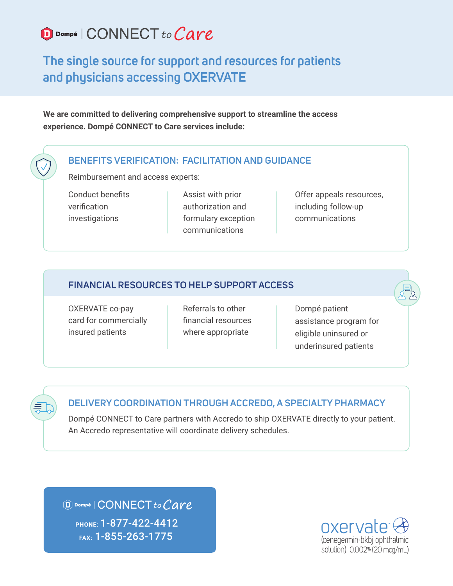# D Dompé | CONNECT to Care

## **The single source for support and resources for patients and physicians accessing OXERVATE**

**We are committed to delivering comprehensive support to streamline the access experience. Dompé CONNECT to Care services include:**

#### **BENEFITS VERIFICATION: FACILITATION AND GUIDANCE**

Reimbursement and access experts:

Conduct benefits verification investigations

Assist with prior authorization and formulary exception communications

Offer appeals resources, including follow-up communications

### **FINANCIAL RESOURCES TO HELP SUPPORT ACCESS**

OXERVATE co-pay card for commercially insured patients

Referrals to other financial resources where appropriate

Dompé patient assistance program for eligible uninsured or underinsured patients

#### **DELIVERY COORDINATION THROUGH ACCREDO, A SPECIALTY PHARMACY**

Dompé CONNECT to Care partners with Accredo to ship OXERVATE directly to your patient. An Accredo representative will coordinate delivery schedules.

D Dompé | CONNECT to Care **PHONE:** 1-877-422-4412 **FAX:** 1-855-263-1775